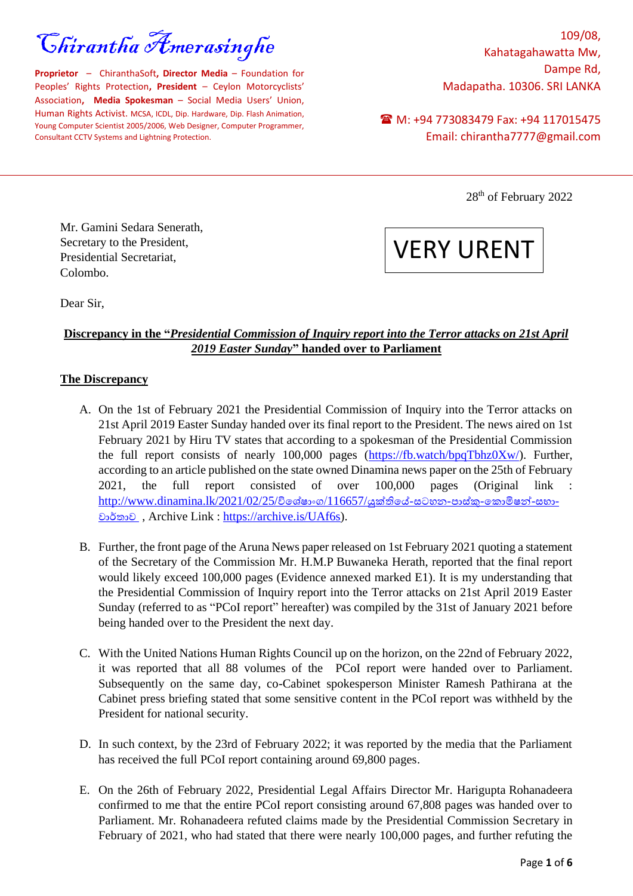Chirantha Amerasinghe

**Proprietor** – ChiranthaSoft**, Director Media** – Foundation for Peoples' Rights Protection**, President** – Ceylon Motorcyclists' Association**, Media Spokesman** – Social Media Users' Union, Human Rights Activist. MCSA, ICDL, Dip. Hardware, Dip. Flash Animation, Young Computer Scientist 2005/2006, Web Designer, Computer Programmer, Consultant CCTV Systems and Lightning Protection.

109/08, Kahatagahawatta Mw, Dampe Rd, Madapatha. 10306. SRI LANKA

M: +94 773083479 Fax: +94 117015475 Email: chirantha7777@gmail.com

28<sup>th</sup> of February 2022

Mr. Gamini Sedara Senerath, Secretary to the President, Presidential Secretariat, Colombo.

VERY URENT

Dear Sir,

# **Discrepancy in the "***Presidential Commission of Inquiry report into the Terror attacks on 21st April 2019 Easter Sunday***" handed over to Parliament**

#### **The Discrepancy**

- A. On the 1st of February 2021 the Presidential Commission of Inquiry into the Terror attacks on 21st April 2019 Easter Sunday handed over its final report to the President. The news aired on 1st February 2021 by Hiru TV states that according to a spokesman of the Presidential Commission the full report consists of nearly 100,000 pages [\(https://fb.watch/bpqTbhz0Xw/\)](https://fb.watch/bpqTbhz0Xw/). Further, according to an article published on the state owned Dinamina news paper on the 25th of February 2021, the full report consisted of over 100,000 pages (Original link :  $http://www.dinamina.lk/2021/02/25/විශේෂාංග/116657/යුක්තියේ-සටහන-පාස්කු-කොමිෂන්-සභා$ වාර්තාව , Archive Link : [https://archive.is/UAf6s\)](https://archive.is/UAf6s).
- B. Further, the front page of the Aruna News paper released on 1st February 2021 quoting a statement of the Secretary of the Commission Mr. H.M.P Buwaneka Herath, reported that the final report would likely exceed 100,000 pages (Evidence annexed marked E1). It is my understanding that the Presidential Commission of Inquiry report into the Terror attacks on 21st April 2019 Easter Sunday (referred to as "PCoI report" hereafter) was compiled by the 31st of January 2021 before being handed over to the President the next day.
- C. With the United Nations Human Rights Council up on the horizon, on the 22nd of February 2022, it was reported that all 88 volumes of the PCoI report were handed over to Parliament. Subsequently on the same day, co-Cabinet spokesperson Minister Ramesh Pathirana at the Cabinet press briefing stated that some sensitive content in the PCoI report was withheld by the President for national security.
- D. In such context, by the 23rd of February 2022; it was reported by the media that the Parliament has received the full PCoI report containing around 69,800 pages.
- E. On the 26th of February 2022, Presidential Legal Affairs Director Mr. Harigupta Rohanadeera confirmed to me that the entire PCoI report consisting around 67,808 pages was handed over to Parliament. Mr. Rohanadeera refuted claims made by the Presidential Commission Secretary in February of 2021, who had stated that there were nearly 100,000 pages, and further refuting the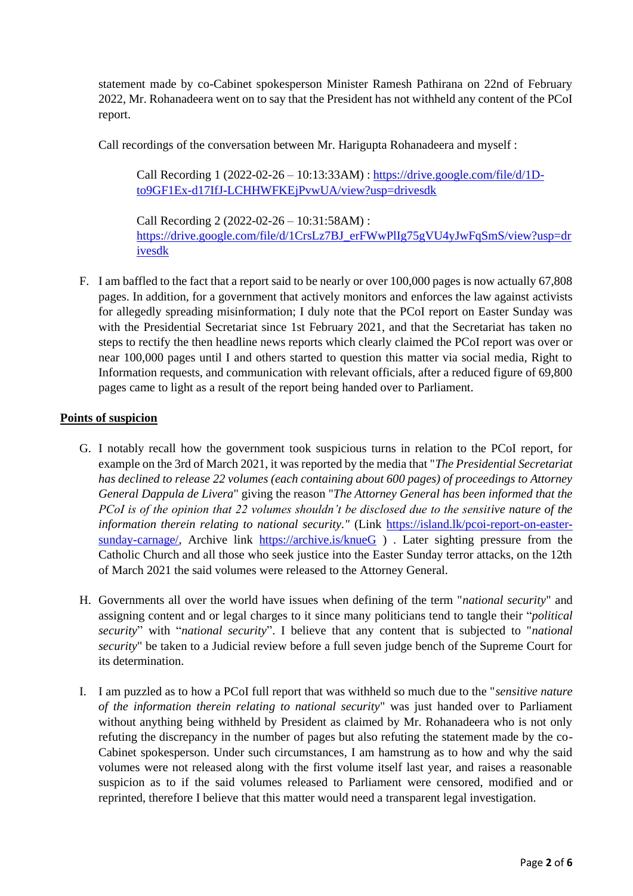statement made by co-Cabinet spokesperson Minister Ramesh Pathirana on 22nd of February 2022, Mr. Rohanadeera went on to say that the President has not withheld any content of the PCoI report.

Call recordings of the conversation between Mr. Harigupta Rohanadeera and myself :

Call Recording 1 (2022-02-26 – 10:13:33AM) : [https://drive.google.com/file/d/1D](https://drive.google.com/file/d/1D-to9GF1Ex-d17IfJ-LCHHWFKEjPvwUA/view?usp=drivesdk)[to9GF1Ex-d17IfJ-LCHHWFKEjPvwUA/view?usp=drivesdk](https://drive.google.com/file/d/1D-to9GF1Ex-d17IfJ-LCHHWFKEjPvwUA/view?usp=drivesdk)

Call Recording 2 (2022-02-26 – 10:31:58AM) : [https://drive.google.com/file/d/1CrsLz7BJ\\_erFWwPlIg75gVU4yJwFqSmS/view?usp=dr](https://drive.google.com/file/d/1CrsLz7BJ_erFWwPlIg75gVU4yJwFqSmS/view?usp=drivesdk) [ivesdk](https://drive.google.com/file/d/1CrsLz7BJ_erFWwPlIg75gVU4yJwFqSmS/view?usp=drivesdk)

F. I am baffled to the fact that a report said to be nearly or over 100,000 pages is now actually 67,808 pages. In addition, for a government that actively monitors and enforces the law against activists for allegedly spreading misinformation; I duly note that the PCoI report on Easter Sunday was with the Presidential Secretariat since 1st February 2021, and that the Secretariat has taken no steps to rectify the then headline news reports which clearly claimed the PCoI report was over or near 100,000 pages until I and others started to question this matter via social media, Right to Information requests, and communication with relevant officials, after a reduced figure of 69,800 pages came to light as a result of the report being handed over to Parliament.

### **Points of suspicion**

- G. I notably recall how the government took suspicious turns in relation to the PCoI report, for example on the 3rd of March 2021, it was reported by the media that "*The Presidential Secretariat has declined to release 22 volumes (each containing about 600 pages) of proceedings to Attorney General Dappula de Livera*" giving the reason "*The Attorney General has been informed that the PCoI is of the opinion that 22 volumes shouldn't be disclosed due to the sensitive nature of the information therein relating to national security."* (Link [https://island.lk/pcoi-report-on-easter](https://island.lk/pcoi-report-on-easter-sunday-carnage/)[sunday-carnage/,](https://island.lk/pcoi-report-on-easter-sunday-carnage/) Archive link <https://archive.is/knueG>). Later sighting pressure from the Catholic Church and all those who seek justice into the Easter Sunday terror attacks, on the 12th of March 2021 the said volumes were released to the Attorney General.
- H. Governments all over the world have issues when defining of the term "*national security*" and assigning content and or legal charges to it since many politicians tend to tangle their "*political security*" with "*national security*". I believe that any content that is subjected to "*national security*" be taken to a Judicial review before a full seven judge bench of the Supreme Court for its determination.
- I. I am puzzled as to how a PCoI full report that was withheld so much due to the "*sensitive nature of the information therein relating to national security*" was just handed over to Parliament without anything being withheld by President as claimed by Mr. Rohanadeera who is not only refuting the discrepancy in the number of pages but also refuting the statement made by the co-Cabinet spokesperson. Under such circumstances, I am hamstrung as to how and why the said volumes were not released along with the first volume itself last year, and raises a reasonable suspicion as to if the said volumes released to Parliament were censored, modified and or reprinted, therefore I believe that this matter would need a transparent legal investigation.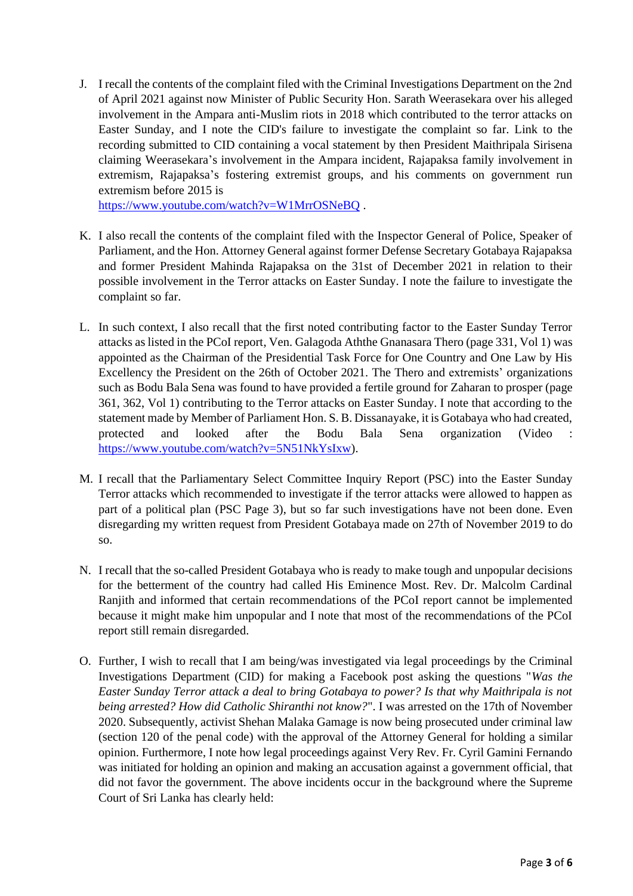J. I recall the contents of the complaint filed with the Criminal Investigations Department on the 2nd of April 2021 against now Minister of Public Security Hon. Sarath Weerasekara over his alleged involvement in the Ampara anti-Muslim riots in 2018 which contributed to the terror attacks on Easter Sunday, and I note the CID's failure to investigate the complaint so far. Link to the recording submitted to CID containing a vocal statement by then President Maithripala Sirisena claiming Weerasekara's involvement in the Ampara incident, Rajapaksa family involvement in extremism, Rajapaksa's fostering extremist groups, and his comments on government run extremism before 2015 is

<https://www.youtube.com/watch?v=W1MrrOSNeBQ> .

- K. I also recall the contents of the complaint filed with the Inspector General of Police, Speaker of Parliament, and the Hon. Attorney General against former Defense Secretary Gotabaya Rajapaksa and former President Mahinda Rajapaksa on the 31st of December 2021 in relation to their possible involvement in the Terror attacks on Easter Sunday. I note the failure to investigate the complaint so far.
- L. In such context, I also recall that the first noted contributing factor to the Easter Sunday Terror attacks as listed in the PCoI report, Ven. Galagoda Aththe Gnanasara Thero (page 331, Vol 1) was appointed as the Chairman of the Presidential Task Force for One Country and One Law by His Excellency the President on the 26th of October 2021. The Thero and extremists' organizations such as Bodu Bala Sena was found to have provided a fertile ground for Zaharan to prosper (page 361, 362, Vol 1) contributing to the Terror attacks on Easter Sunday. I note that according to the statement made by Member of Parliament Hon. S. B. Dissanayake, it is Gotabaya who had created, protected and looked after the Bodu Bala Sena organization (Video : [https://www.youtube.com/watch?v=5N51NkYsIxw\)](https://www.youtube.com/watch?v=5N51NkYsIxw).
- M. I recall that the Parliamentary Select Committee Inquiry Report (PSC) into the Easter Sunday Terror attacks which recommended to investigate if the terror attacks were allowed to happen as part of a political plan (PSC Page 3), but so far such investigations have not been done. Even disregarding my written request from President Gotabaya made on 27th of November 2019 to do so.
- N. I recall that the so-called President Gotabaya who is ready to make tough and unpopular decisions for the betterment of the country had called His Eminence Most. Rev. Dr. Malcolm Cardinal Ranjith and informed that certain recommendations of the PCoI report cannot be implemented because it might make him unpopular and I note that most of the recommendations of the PCoI report still remain disregarded.
- O. Further, I wish to recall that I am being/was investigated via legal proceedings by the Criminal Investigations Department (CID) for making a Facebook post asking the questions "*Was the Easter Sunday Terror attack a deal to bring Gotabaya to power? Is that why Maithripala is not being arrested? How did Catholic Shiranthi not know?*". I was arrested on the 17th of November 2020. Subsequently, activist Shehan Malaka Gamage is now being prosecuted under criminal law (section 120 of the penal code) with the approval of the Attorney General for holding a similar opinion. Furthermore, I note how legal proceedings against Very Rev. Fr. Cyril Gamini Fernando was initiated for holding an opinion and making an accusation against a government official, that did not favor the government. The above incidents occur in the background where the Supreme Court of Sri Lanka has clearly held: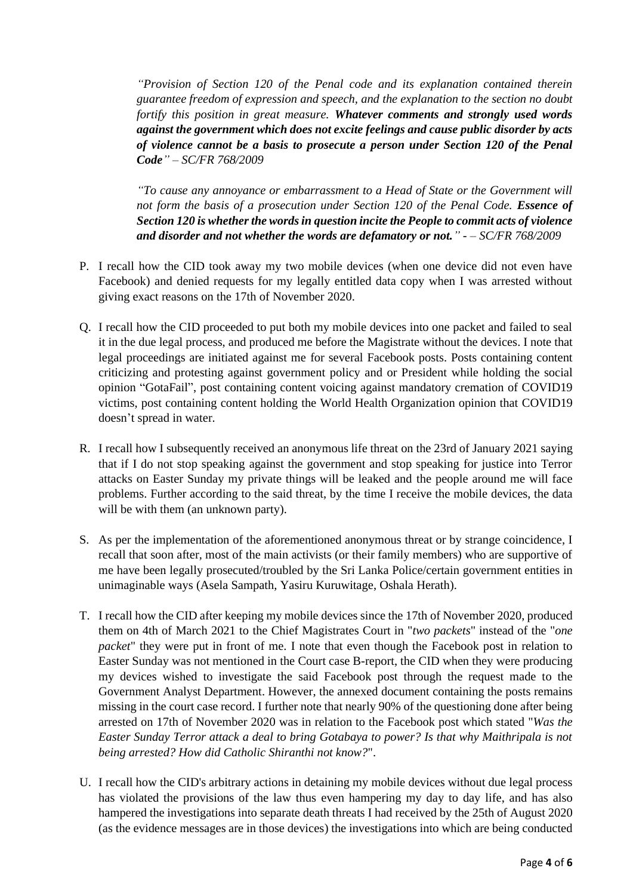*"Provision of Section 120 of the Penal code and its explanation contained therein guarantee freedom of expression and speech, and the explanation to the section no doubt fortify this position in great measure. Whatever comments and strongly used words against the government which does not excite feelings and cause public disorder by acts of violence cannot be a basis to prosecute a person under Section 120 of the Penal Code" – SC/FR 768/2009*

*"To cause any annoyance or embarrassment to a Head of State or the Government will not form the basis of a prosecution under Section 120 of the Penal Code. Essence of Section 120 is whether the words in question incite the People to commit acts of violence and disorder and not whether the words are defamatory or not." - – SC/FR 768/2009*

- P. I recall how the CID took away my two mobile devices (when one device did not even have Facebook) and denied requests for my legally entitled data copy when I was arrested without giving exact reasons on the 17th of November 2020.
- Q. I recall how the CID proceeded to put both my mobile devices into one packet and failed to seal it in the due legal process, and produced me before the Magistrate without the devices. I note that legal proceedings are initiated against me for several Facebook posts. Posts containing content criticizing and protesting against government policy and or President while holding the social opinion "GotaFail", post containing content voicing against mandatory cremation of COVID19 victims, post containing content holding the World Health Organization opinion that COVID19 doesn't spread in water.
- R. I recall how I subsequently received an anonymous life threat on the 23rd of January 2021 saying that if I do not stop speaking against the government and stop speaking for justice into Terror attacks on Easter Sunday my private things will be leaked and the people around me will face problems. Further according to the said threat, by the time I receive the mobile devices, the data will be with them (an unknown party).
- S. As per the implementation of the aforementioned anonymous threat or by strange coincidence, I recall that soon after, most of the main activists (or their family members) who are supportive of me have been legally prosecuted/troubled by the Sri Lanka Police/certain government entities in unimaginable ways (Asela Sampath, Yasiru Kuruwitage, Oshala Herath).
- T. I recall how the CID after keeping my mobile devices since the 17th of November 2020, produced them on 4th of March 2021 to the Chief Magistrates Court in "*two packets*" instead of the "*one packet*" they were put in front of me. I note that even though the Facebook post in relation to Easter Sunday was not mentioned in the Court case B-report, the CID when they were producing my devices wished to investigate the said Facebook post through the request made to the Government Analyst Department. However, the annexed document containing the posts remains missing in the court case record. I further note that nearly 90% of the questioning done after being arrested on 17th of November 2020 was in relation to the Facebook post which stated "*Was the Easter Sunday Terror attack a deal to bring Gotabaya to power? Is that why Maithripala is not being arrested? How did Catholic Shiranthi not know?*".
- U. I recall how the CID's arbitrary actions in detaining my mobile devices without due legal process has violated the provisions of the law thus even hampering my day to day life, and has also hampered the investigations into separate death threats I had received by the 25th of August 2020 (as the evidence messages are in those devices) the investigations into which are being conducted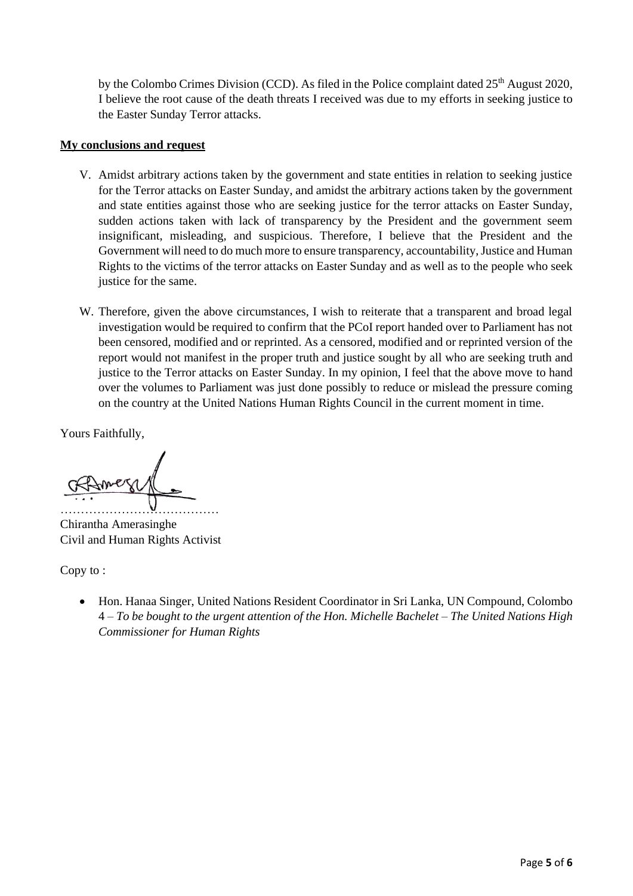by the Colombo Crimes Division (CCD). As filed in the Police complaint dated 25<sup>th</sup> August 2020, I believe the root cause of the death threats I received was due to my efforts in seeking justice to the Easter Sunday Terror attacks.

## **My conclusions and request**

- V. Amidst arbitrary actions taken by the government and state entities in relation to seeking justice for the Terror attacks on Easter Sunday, and amidst the arbitrary actions taken by the government and state entities against those who are seeking justice for the terror attacks on Easter Sunday, sudden actions taken with lack of transparency by the President and the government seem insignificant, misleading, and suspicious. Therefore, I believe that the President and the Government will need to do much more to ensure transparency, accountability, Justice and Human Rights to the victims of the terror attacks on Easter Sunday and as well as to the people who seek justice for the same.
- W. Therefore, given the above circumstances, I wish to reiterate that a transparent and broad legal investigation would be required to confirm that the PCoI report handed over to Parliament has not been censored, modified and or reprinted. As a censored, modified and or reprinted version of the report would not manifest in the proper truth and justice sought by all who are seeking truth and justice to the Terror attacks on Easter Sunday. In my opinion, I feel that the above move to hand over the volumes to Parliament was just done possibly to reduce or mislead the pressure coming on the country at the United Nations Human Rights Council in the current moment in time.

Yours Faithfully,

…………………………………

Chirantha Amerasinghe Civil and Human Rights Activist

Copy to :

• Hon. Hanaa Singer, United Nations Resident Coordinator in Sri Lanka, UN Compound, Colombo 4 – *To be bought to the urgent attention of the Hon. Michelle Bachelet – The United Nations High Commissioner for Human Rights*